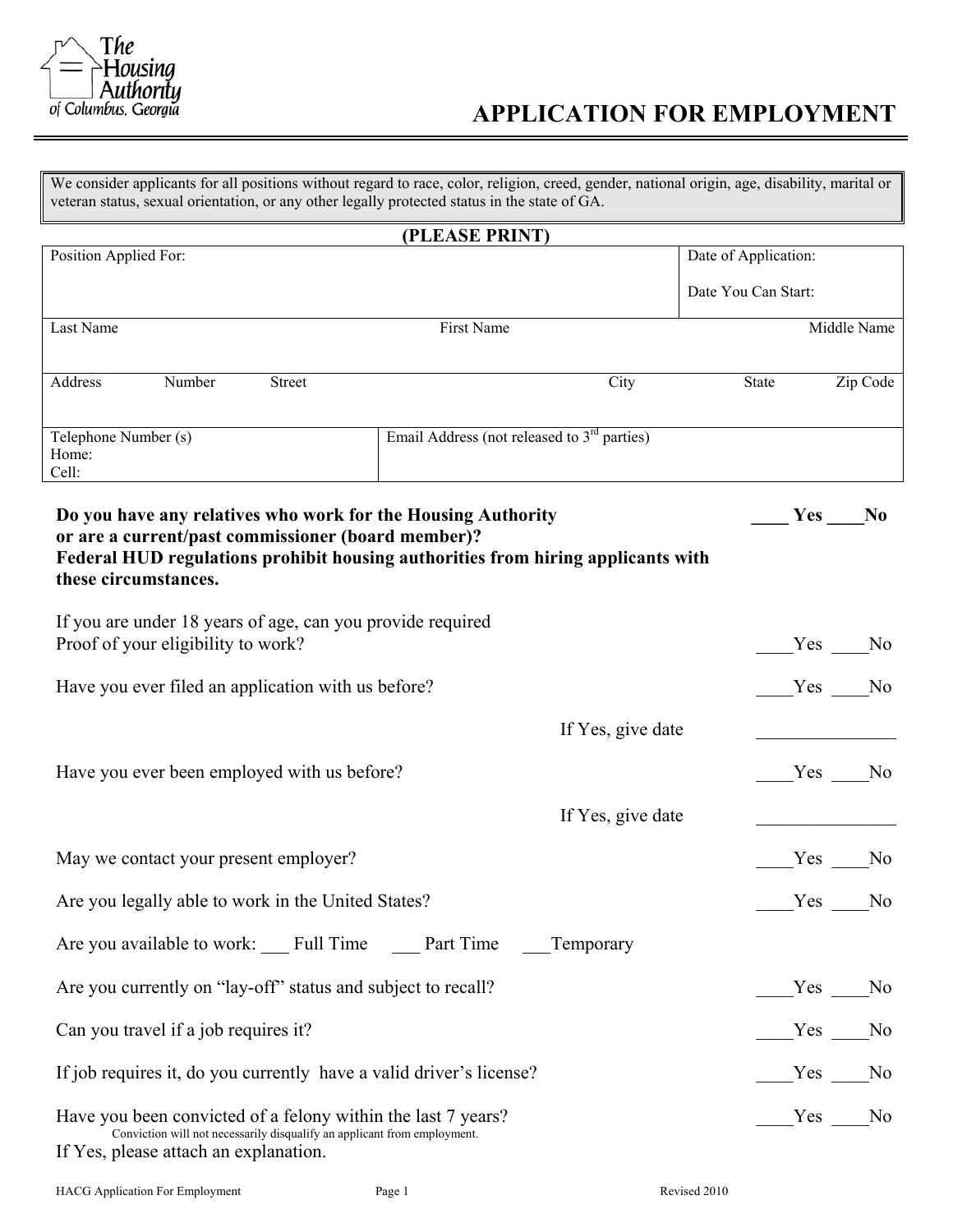

#### **APPLICATION FOR EMPLOYMENT**

We consider applicants for all positions without regard to race, color, religion, creed, gender, national origin, age, disability, marital or veteran status, sexual orientation, or any other legally protected status in the state of GA.

|                                                                                                                                                                                                                                | (PLEASE PRINT)                                |                   |                      |     |                |
|--------------------------------------------------------------------------------------------------------------------------------------------------------------------------------------------------------------------------------|-----------------------------------------------|-------------------|----------------------|-----|----------------|
| Position Applied For:                                                                                                                                                                                                          |                                               |                   | Date of Application: |     |                |
|                                                                                                                                                                                                                                |                                               |                   | Date You Can Start:  |     |                |
| Last Name                                                                                                                                                                                                                      | First Name                                    |                   |                      |     | Middle Name    |
|                                                                                                                                                                                                                                |                                               |                   |                      |     |                |
| Number<br>Address<br>Street                                                                                                                                                                                                    |                                               | City              | State                |     | Zip Code       |
| Telephone Number (s)<br>Home:<br>Cell:                                                                                                                                                                                         | Email Address (not released to $3rd$ parties) |                   |                      |     |                |
| Do you have any relatives who work for the Housing Authority<br>or are a current/past commissioner (board member)?<br>Federal HUD regulations prohibit housing authorities from hiring applicants with<br>these circumstances. |                                               |                   |                      | Yes | N <sub>0</sub> |
| If you are under 18 years of age, can you provide required<br>Proof of your eligibility to work?                                                                                                                               |                                               |                   |                      |     | Yes No         |
| Have you ever filed an application with us before?                                                                                                                                                                             |                                               |                   |                      |     | Yes No         |
|                                                                                                                                                                                                                                |                                               | If Yes, give date |                      |     |                |
| Have you ever been employed with us before?                                                                                                                                                                                    |                                               |                   |                      |     | Yes No         |
|                                                                                                                                                                                                                                |                                               | If Yes, give date |                      |     |                |
| May we contact your present employer?                                                                                                                                                                                          |                                               |                   |                      |     | Yes No         |
| Are you legally able to work in the United States?                                                                                                                                                                             |                                               |                   |                      |     | Yes No         |
| Are you available to work: Full Time Part Time                                                                                                                                                                                 |                                               | Temporary         |                      |     |                |
| Are you currently on "lay-off" status and subject to recall?                                                                                                                                                                   |                                               |                   |                      |     | Yes No         |
| Can you travel if a job requires it?                                                                                                                                                                                           |                                               |                   |                      | Yes | N <sub>0</sub> |
| If job requires it, do you currently have a valid driver's license?                                                                                                                                                            |                                               |                   |                      | Yes | $\rm No$       |
| Have you been convicted of a felony within the last 7 years?<br>Conviction will not necessarily disqualify an applicant from employment.<br>If Yes, please attach an explanation.                                              |                                               |                   |                      |     | Yes No         |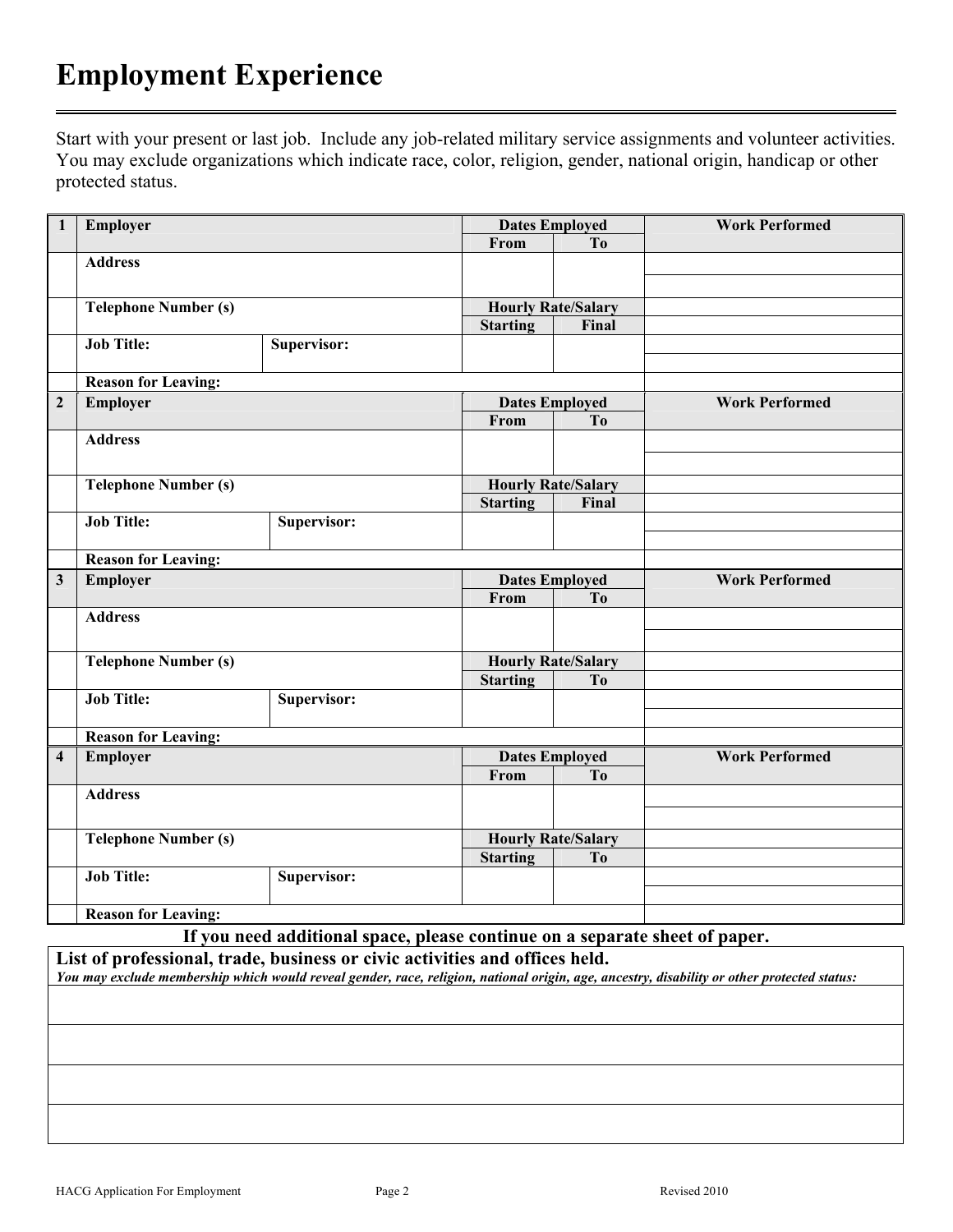## **Employment Experience**

Start with your present or last job. Include any job-related military service assignments and volunteer activities. You may exclude organizations which indicate race, color, religion, gender, national origin, handicap or other protected status.

| $\mathbf{1}$            | Employer<br><b>Dates Employed</b><br>From<br>T <sub>o</sub> |                           |                           | <b>Work Performed</b>                       |                       |
|-------------------------|-------------------------------------------------------------|---------------------------|---------------------------|---------------------------------------------|-----------------------|
|                         |                                                             |                           |                           |                                             |                       |
|                         | <b>Address</b>                                              |                           |                           |                                             |                       |
|                         |                                                             |                           |                           |                                             |                       |
|                         | <b>Telephone Number (s)</b>                                 |                           | <b>Hourly Rate/Salary</b> |                                             |                       |
|                         |                                                             |                           | <b>Starting</b>           | Final                                       |                       |
|                         | <b>Job Title:</b>                                           | Supervisor:               |                           |                                             |                       |
|                         |                                                             |                           |                           |                                             |                       |
|                         | <b>Reason for Leaving:</b>                                  |                           |                           |                                             |                       |
| $\overline{2}$          | Employer                                                    |                           | <b>Dates Employed</b>     |                                             | <b>Work Performed</b> |
|                         |                                                             |                           | From                      | To                                          |                       |
|                         | <b>Address</b>                                              |                           |                           |                                             |                       |
|                         |                                                             |                           |                           |                                             |                       |
|                         | <b>Telephone Number (s)</b>                                 | <b>Hourly Rate/Salary</b> |                           |                                             |                       |
|                         |                                                             |                           | <b>Starting</b>           | Final                                       |                       |
|                         | <b>Job Title:</b>                                           | Supervisor:               |                           |                                             |                       |
|                         |                                                             |                           |                           |                                             |                       |
|                         | <b>Reason for Leaving:</b>                                  |                           |                           |                                             |                       |
|                         |                                                             |                           | <b>Dates Employed</b>     |                                             | <b>Work Performed</b> |
| $\mathbf{3}$            | Employer                                                    |                           |                           |                                             |                       |
|                         |                                                             |                           | From                      | T <sub>o</sub>                              |                       |
|                         | <b>Address</b>                                              |                           |                           |                                             |                       |
|                         |                                                             |                           |                           |                                             |                       |
|                         |                                                             |                           |                           |                                             |                       |
|                         | <b>Telephone Number (s)</b>                                 |                           |                           | <b>Hourly Rate/Salary</b><br>T <sub>0</sub> |                       |
|                         | <b>Job Title:</b>                                           | Supervisor:               | <b>Starting</b>           |                                             |                       |
|                         |                                                             |                           |                           |                                             |                       |
|                         | <b>Reason for Leaving:</b>                                  |                           |                           |                                             |                       |
| $\overline{\mathbf{4}}$ | Employer                                                    |                           | <b>Dates Employed</b>     |                                             | <b>Work Performed</b> |
|                         |                                                             |                           | From                      | T <sub>o</sub>                              |                       |
|                         | <b>Address</b>                                              |                           |                           |                                             |                       |
|                         |                                                             |                           |                           |                                             |                       |
|                         |                                                             |                           |                           |                                             |                       |
|                         | <b>Telephone Number (s)</b>                                 |                           | <b>Hourly Rate/Salary</b> | T <sub>o</sub>                              |                       |
|                         | <b>Job Title:</b>                                           | Supervisor:               | <b>Starting</b>           |                                             |                       |
|                         |                                                             |                           |                           |                                             |                       |

**If you need additional space, please continue on a separate sheet of paper.** 

**List of professional, trade, business or civic activities and offices held.** 

*You may exclude membership which would reveal gender, race, religion, national origin, age, ancestry, disability or other protected status:*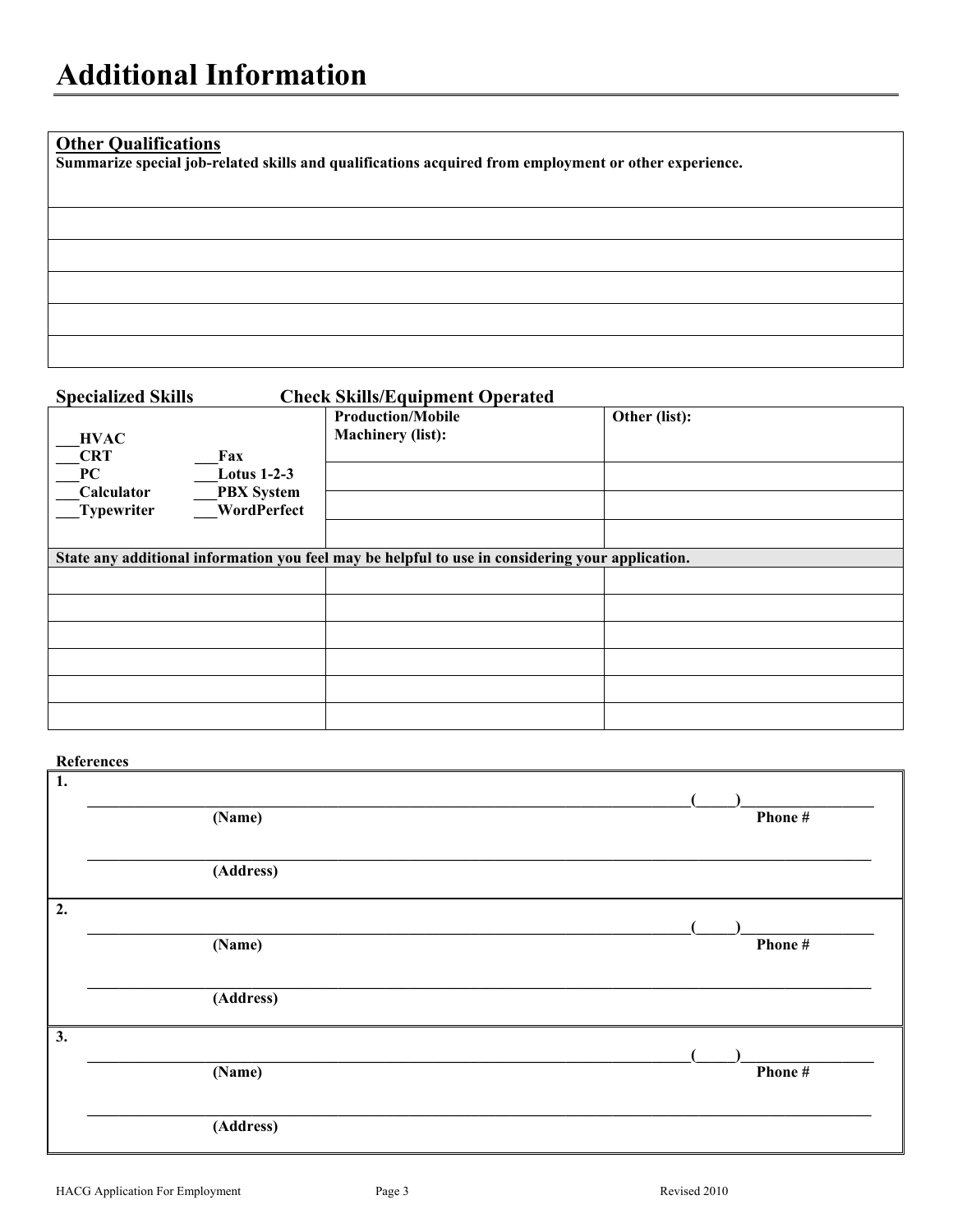#### **Other Qualifications**

**Summarize special job-related skills and qualifications acquired from employment or other experience.** 

### **Specialized Skills Check Skills/Equipment Operated Production/Mobile Machinery (list): Other (list): \_\_\_HVAC**   $\frac{CRT}{PC}$   $\frac{Fax}{Lotx}$ **\_\_\_PC \_\_\_Lotus 1-2-3 \_\_\_Calculator \_\_\_PBX System \_\_\_Typewriter \_\_\_WordPerfect State any additional information you feel may be helpful to use in considering your application.**

#### **References**

| $\sqrt{1}$ . | (Name)    | Phone# |
|--------------|-----------|--------|
|              | (Address) |        |
| $\vert$ 2.   |           |        |
|              | (Name)    | Phone# |
|              | (Address) |        |
| $\vert 3.$   |           |        |
|              | (Name)    | Phone# |
|              | (Address) |        |